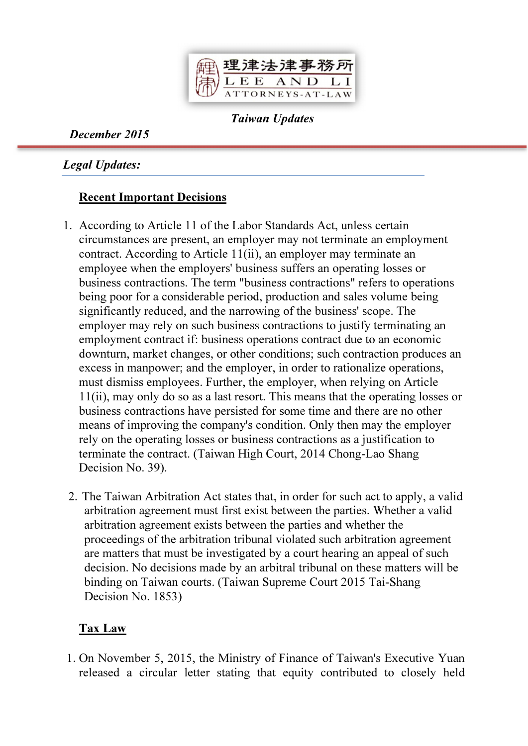

Taiwan Updates

December 2015

Legal Updates:

## Recent Important Decisions

- 1. According to Article 11 of the Labor Standards Act, unless certain circumstances are present, an employer may not terminate an employment contract. According to Article 11(ii), an employer may terminate an employee when the employers' business suffers an operating losses or business contractions. The term "business contractions" refers to operations being poor for a considerable period, production and sales volume being significantly reduced, and the narrowing of the business' scope. The employer may rely on such business contractions to justify terminating an employment contract if: business operations contract due to an economic downturn, market changes, or other conditions; such contraction produces an excess in manpower; and the employer, in order to rationalize operations, must dismiss employees. Further, the employer, when relying on Article 11(ii), may only do so as a last resort. This means that the operating losses or business contractions have persisted for some time and there are no other means of improving the company's condition. Only then may the employer rely on the operating losses or business contractions as a justification to terminate the contract. (Taiwan High Court, 2014 Chong-Lao Shang Decision No. 39).
- 2. The Taiwan Arbitration Act states that, in order for such act to apply, a valid arbitration agreement must first exist between the parties. Whether a valid arbitration agreement exists between the parties and whether the proceedings of the arbitration tribunal violated such arbitration agreement are matters that must be investigated by a court hearing an appeal of such decision. No decisions made by an arbitral tribunal on these matters will be binding on Taiwan courts. (Taiwan Supreme Court 2015 Tai-Shang Decision No. 1853)

## Tax Law

1. On November 5, 2015, the Ministry of Finance of Taiwan's Executive Yuan released a circular letter stating that equity contributed to closely held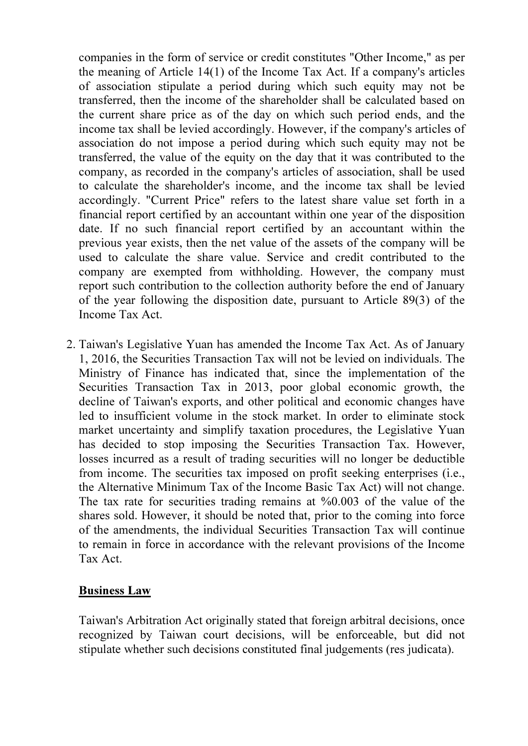companies in the form of service or credit constitutes "Other Income," as per the meaning of Article 14(1) of the Income Tax Act. If a company's articles of association stipulate a period during which such equity may not be transferred, then the income of the shareholder shall be calculated based on the current share price as of the day on which such period ends, and the income tax shall be levied accordingly. However, if the company's articles of association do not impose a period during which such equity may not be transferred, the value of the equity on the day that it was contributed to the company, as recorded in the company's articles of association, shall be used to calculate the shareholder's income, and the income tax shall be levied accordingly. "Current Price" refers to the latest share value set forth in a financial report certified by an accountant within one year of the disposition date. If no such financial report certified by an accountant within the previous year exists, then the net value of the assets of the company will be used to calculate the share value. Service and credit contributed to the company are exempted from withholding. However, the company must report such contribution to the collection authority before the end of January of the year following the disposition date, pursuant to Article 89(3) of the Income Tax Act.

2. Taiwan's Legislative Yuan has amended the Income Tax Act. As of January 1, 2016, the Securities Transaction Tax will not be levied on individuals. The Ministry of Finance has indicated that, since the implementation of the Securities Transaction Tax in 2013, poor global economic growth, the decline of Taiwan's exports, and other political and economic changes have led to insufficient volume in the stock market. In order to eliminate stock market uncertainty and simplify taxation procedures, the Legislative Yuan has decided to stop imposing the Securities Transaction Tax. However, losses incurred as a result of trading securities will no longer be deductible from income. The securities tax imposed on profit seeking enterprises (i.e., the Alternative Minimum Tax of the Income Basic Tax Act) will not change. The tax rate for securities trading remains at %0.003 of the value of the shares sold. However, it should be noted that, prior to the coming into force of the amendments, the individual Securities Transaction Tax will continue to remain in force in accordance with the relevant provisions of the Income Tax Act.

#### Business Law

Taiwan's Arbitration Act originally stated that foreign arbitral decisions, once recognized by Taiwan court decisions, will be enforceable, but did not stipulate whether such decisions constituted final judgements (res judicata).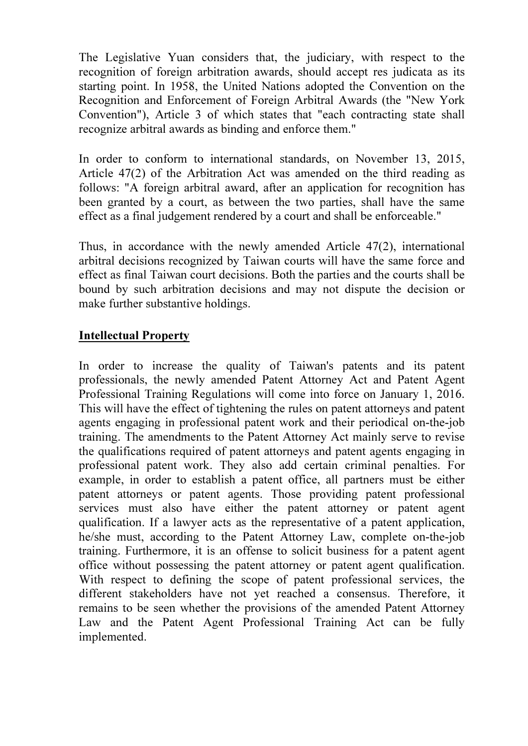The Legislative Yuan considers that, the judiciary, with respect to the recognition of foreign arbitration awards, should accept res judicata as its starting point. In 1958, the United Nations adopted the Convention on the Recognition and Enforcement of Foreign Arbitral Awards (the "New York Convention"), Article 3 of which states that "each contracting state shall recognize arbitral awards as binding and enforce them."

In order to conform to international standards, on November 13, 2015, Article 47(2) of the Arbitration Act was amended on the third reading as follows: "A foreign arbitral award, after an application for recognition has been granted by a court, as between the two parties, shall have the same effect as a final judgement rendered by a court and shall be enforceable."

Thus, in accordance with the newly amended Article 47(2), international arbitral decisions recognized by Taiwan courts will have the same force and effect as final Taiwan court decisions. Both the parties and the courts shall be bound by such arbitration decisions and may not dispute the decision or make further substantive holdings.

#### Intellectual Property

In order to increase the quality of Taiwan's patents and its patent professionals, the newly amended Patent Attorney Act and Patent Agent Professional Training Regulations will come into force on January 1, 2016. This will have the effect of tightening the rules on patent attorneys and patent agents engaging in professional patent work and their periodical on-the-job training. The amendments to the Patent Attorney Act mainly serve to revise the qualifications required of patent attorneys and patent agents engaging in professional patent work. They also add certain criminal penalties. For example, in order to establish a patent office, all partners must be either patent attorneys or patent agents. Those providing patent professional services must also have either the patent attorney or patent agent qualification. If a lawyer acts as the representative of a patent application, he/she must, according to the Patent Attorney Law, complete on-the-job training. Furthermore, it is an offense to solicit business for a patent agent office without possessing the patent attorney or patent agent qualification. With respect to defining the scope of patent professional services, the different stakeholders have not yet reached a consensus. Therefore, it remains to be seen whether the provisions of the amended Patent Attorney Law and the Patent Agent Professional Training Act can be fully implemented.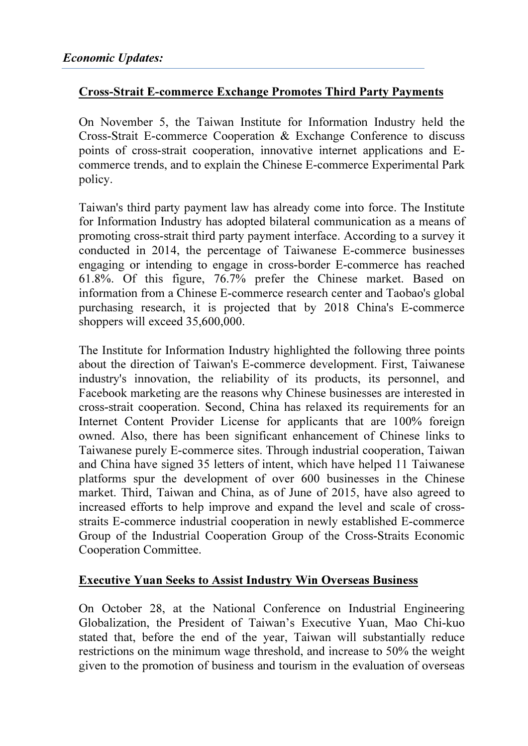## Cross-Strait E-commerce Exchange Promotes Third Party Payments

On November 5, the Taiwan Institute for Information Industry held the Cross-Strait E-commerce Cooperation & Exchange Conference to discuss points of cross-strait cooperation, innovative internet applications and Ecommerce trends, and to explain the Chinese E-commerce Experimental Park policy.

Taiwan's third party payment law has already come into force. The Institute for Information Industry has adopted bilateral communication as a means of promoting cross-strait third party payment interface. According to a survey it conducted in 2014, the percentage of Taiwanese E-commerce businesses engaging or intending to engage in cross-border E-commerce has reached 61.8%. Of this figure, 76.7% prefer the Chinese market. Based on information from a Chinese E-commerce research center and Taobao's global purchasing research, it is projected that by 2018 China's E-commerce shoppers will exceed 35,600,000.

The Institute for Information Industry highlighted the following three points about the direction of Taiwan's E-commerce development. First, Taiwanese industry's innovation, the reliability of its products, its personnel, and Facebook marketing are the reasons why Chinese businesses are interested in cross-strait cooperation. Second, China has relaxed its requirements for an Internet Content Provider License for applicants that are 100% foreign owned. Also, there has been significant enhancement of Chinese links to Taiwanese purely E-commerce sites. Through industrial cooperation, Taiwan and China have signed 35 letters of intent, which have helped 11 Taiwanese platforms spur the development of over 600 businesses in the Chinese market. Third, Taiwan and China, as of June of 2015, have also agreed to increased efforts to help improve and expand the level and scale of crossstraits E-commerce industrial cooperation in newly established E-commerce Group of the Industrial Cooperation Group of the Cross-Straits Economic Cooperation Committee.

#### Executive Yuan Seeks to Assist Industry Win Overseas Business

On October 28, at the National Conference on Industrial Engineering Globalization, the President of Taiwan's Executive Yuan, Mao Chi-kuo stated that, before the end of the year, Taiwan will substantially reduce restrictions on the minimum wage threshold, and increase to 50% the weight given to the promotion of business and tourism in the evaluation of overseas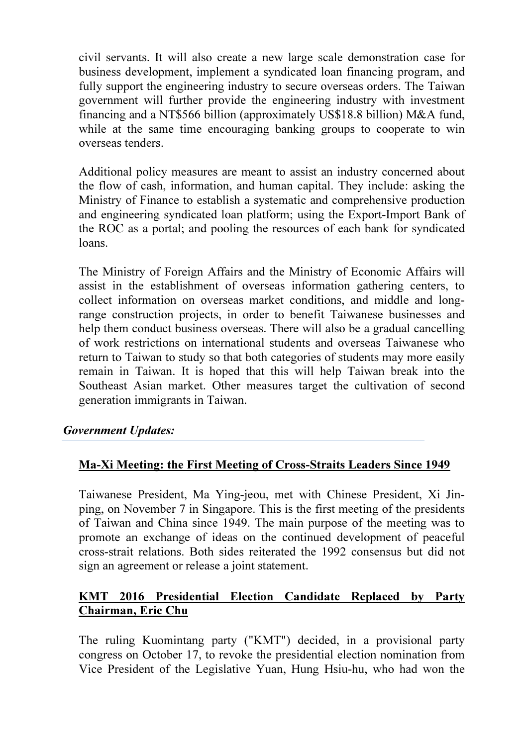civil servants. It will also create a new large scale demonstration case for business development, implement a syndicated loan financing program, and fully support the engineering industry to secure overseas orders. The Taiwan government will further provide the engineering industry with investment financing and a NT\$566 billion (approximately US\$18.8 billion) M&A fund, while at the same time encouraging banking groups to cooperate to win overseas tenders.

Additional policy measures are meant to assist an industry concerned about the flow of cash, information, and human capital. They include: asking the Ministry of Finance to establish a systematic and comprehensive production and engineering syndicated loan platform; using the Export-Import Bank of the ROC as a portal; and pooling the resources of each bank for syndicated loans.

The Ministry of Foreign Affairs and the Ministry of Economic Affairs will assist in the establishment of overseas information gathering centers, to collect information on overseas market conditions, and middle and longrange construction projects, in order to benefit Taiwanese businesses and help them conduct business overseas. There will also be a gradual cancelling of work restrictions on international students and overseas Taiwanese who return to Taiwan to study so that both categories of students may more easily remain in Taiwan. It is hoped that this will help Taiwan break into the Southeast Asian market. Other measures target the cultivation of second generation immigrants in Taiwan.

#### Government Updates:

#### Ma-Xi Meeting: the First Meeting of Cross-Straits Leaders Since 1949

Taiwanese President, Ma Ying-jeou, met with Chinese President, Xi Jinping, on November 7 in Singapore. This is the first meeting of the presidents of Taiwan and China since 1949. The main purpose of the meeting was to promote an exchange of ideas on the continued development of peaceful cross-strait relations. Both sides reiterated the 1992 consensus but did not sign an agreement or release a joint statement.

## KMT 2016 Presidential Election Candidate Replaced by Party Chairman, Eric Chu

The ruling Kuomintang party ("KMT") decided, in a provisional party congress on October 17, to revoke the presidential election nomination from Vice President of the Legislative Yuan, Hung Hsiu-hu, who had won the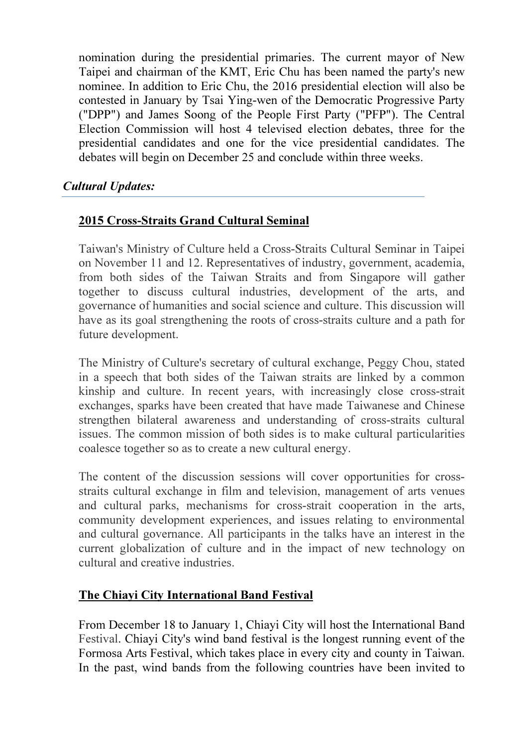nomination during the presidential primaries. The current mayor of New Taipei and chairman of the KMT, Eric Chu has been named the party's new nominee. In addition to Eric Chu, the 2016 presidential election will also be contested in January by Tsai Ying-wen of the Democratic Progressive Party ("DPP") and James Soong of the People First Party ("PFP"). The Central Election Commission will host 4 televised election debates, three for the presidential candidates and one for the vice presidential candidates. The debates will begin on December 25 and conclude within three weeks.

# Cultural Updates:

# 2015 Cross-Straits Grand Cultural Seminal

Taiwan's Ministry of Culture held a Cross-Straits Cultural Seminar in Taipei on November 11 and 12. Representatives of industry, government, academia, from both sides of the Taiwan Straits and from Singapore will gather together to discuss cultural industries, development of the arts, and governance of humanities and social science and culture. This discussion will have as its goal strengthening the roots of cross-straits culture and a path for future development.

The Ministry of Culture's secretary of cultural exchange, Peggy Chou, stated in a speech that both sides of the Taiwan straits are linked by a common kinship and culture. In recent years, with increasingly close cross-strait exchanges, sparks have been created that have made Taiwanese and Chinese strengthen bilateral awareness and understanding of cross-straits cultural issues. The common mission of both sides is to make cultural particularities coalesce together so as to create a new cultural energy.

The content of the discussion sessions will cover opportunities for crossstraits cultural exchange in film and television, management of arts venues and cultural parks, mechanisms for cross-strait cooperation in the arts, community development experiences, and issues relating to environmental and cultural governance. All participants in the talks have an interest in the current globalization of culture and in the impact of new technology on cultural and creative industries.

## The Chiayi City International Band Festival

From December 18 to January 1, Chiayi City will host the International Band Festival. Chiayi City's wind band festival is the longest running event of the Formosa Arts Festival, which takes place in every city and county in Taiwan. In the past, wind bands from the following countries have been invited to